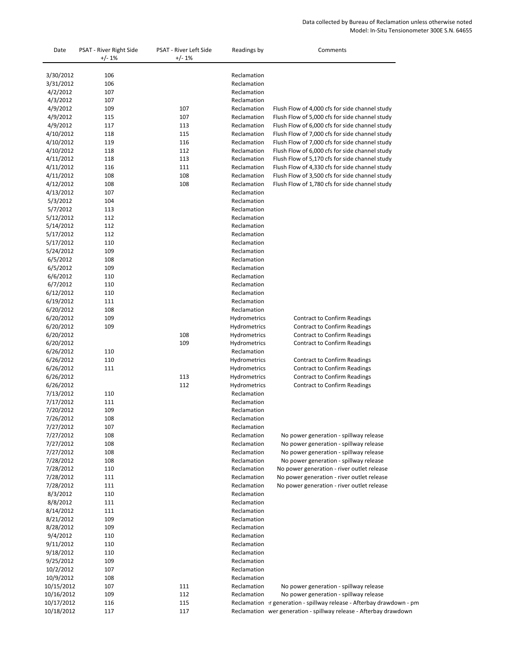## Data collected by Bureau of Reclamation unless otherwise noted Model: In-Situ Tensionometer 300E S.N. 64655

| Date                   | PSAT - River Right Side<br>$+/-1\%$ | PSAT - River Left Side<br>$+/-1%$ | Readings by                | Comments                                       |
|------------------------|-------------------------------------|-----------------------------------|----------------------------|------------------------------------------------|
| 3/30/2012              | 106                                 |                                   | Reclamation                |                                                |
| 3/31/2012              | 106                                 |                                   | Reclamation                |                                                |
| 4/2/2012               | 107                                 |                                   | Reclamation                |                                                |
| 4/3/2012               | 107                                 |                                   | Reclamation                |                                                |
| 4/9/2012               | 109                                 | 107                               | Reclamation                | Flush Flow of 4,000 cfs for side channel study |
| 4/9/2012               | 115                                 | 107                               | Reclamation                | Flush Flow of 5,000 cfs for side channel study |
| 4/9/2012               | 117                                 | 113                               | Reclamation                | Flush Flow of 6,000 cfs for side channel study |
| 4/10/2012              | 118                                 | 115                               | Reclamation                | Flush Flow of 7,000 cfs for side channel study |
| 4/10/2012              | 119                                 | 116                               | Reclamation                | Flush Flow of 7,000 cfs for side channel study |
| 4/10/2012              | 118                                 | 112                               | Reclamation                | Flush Flow of 6,000 cfs for side channel study |
| 4/11/2012              | 118                                 | 113                               | Reclamation                | Flush Flow of 5,170 cfs for side channel study |
| 4/11/2012              | 116                                 | 111                               | Reclamation                | Flush Flow of 4,330 cfs for side channel study |
| 4/11/2012              | 108                                 | 108                               | Reclamation                | Flush Flow of 3,500 cfs for side channel study |
| 4/12/2012              | 108                                 | 108                               | Reclamation                | Flush Flow of 1,780 cfs for side channel study |
| 4/13/2012              | 107                                 |                                   | Reclamation                |                                                |
| 5/3/2012               | 104                                 |                                   | Reclamation                |                                                |
| 5/7/2012               | 113                                 |                                   | Reclamation                |                                                |
| 5/12/2012              | 112                                 |                                   | Reclamation                |                                                |
| 5/14/2012              | 112                                 |                                   | Reclamation                |                                                |
| 5/17/2012              | 112                                 |                                   | Reclamation                |                                                |
| 5/17/2012              | 110                                 |                                   | Reclamation                |                                                |
| 5/24/2012              | 109                                 |                                   | Reclamation                |                                                |
| 6/5/2012               | 108                                 |                                   | Reclamation                |                                                |
| 6/5/2012               | 109                                 |                                   | Reclamation                |                                                |
| 6/6/2012               | 110                                 |                                   | Reclamation                |                                                |
| 6/7/2012               | 110                                 |                                   | Reclamation                |                                                |
| 6/12/2012              | 110                                 |                                   | Reclamation                |                                                |
| 6/19/2012              | 111                                 |                                   | Reclamation                |                                                |
| 6/20/2012              | 108                                 |                                   | Reclamation                |                                                |
| 6/20/2012              | 109                                 |                                   | Hydrometrics               | <b>Contract to Confirm Readings</b>            |
| 6/20/2012              | 109                                 |                                   | Hydrometrics               | <b>Contract to Confirm Readings</b>            |
| 6/20/2012              |                                     | 108                               | Hydrometrics               | <b>Contract to Confirm Readings</b>            |
| 6/20/2012              |                                     | 109                               | Hydrometrics               | <b>Contract to Confirm Readings</b>            |
| 6/26/2012              | 110                                 |                                   | Reclamation                |                                                |
| 6/26/2012              | 110                                 |                                   | Hydrometrics               | <b>Contract to Confirm Readings</b>            |
| 6/26/2012              | 111                                 |                                   | Hydrometrics               | <b>Contract to Confirm Readings</b>            |
| 6/26/2012              |                                     | 113                               | Hydrometrics               | <b>Contract to Confirm Readings</b>            |
| 6/26/2012              |                                     | 112                               | Hydrometrics               | <b>Contract to Confirm Readings</b>            |
| 7/13/2012              | 110<br>111                          |                                   | Reclamation<br>Reclamation |                                                |
| 7/17/2012<br>7/20/2012 | 109                                 |                                   | Reclamation                |                                                |
| 7/26/2012              | 108                                 |                                   | Reclamation                |                                                |
| 7/27/2012              | 107                                 |                                   | Reclamation                |                                                |
| 7/27/2012              | 108                                 |                                   | Reclamation                | No power generation - spillway release         |
| 7/27/2012              | 108                                 |                                   | Reclamation                | No power generation - spillway release         |
| 7/27/2012              | 108                                 |                                   | Reclamation                | No power generation - spillway release         |
| 7/28/2012              | 108                                 |                                   | Reclamation                | No power generation - spillway release         |
| 7/28/2012              | 110                                 |                                   | Reclamation                | No power generation - river outlet release     |
| 7/28/2012              | 111                                 |                                   | Reclamation                | No power generation - river outlet release     |
| 7/28/2012              | 111                                 |                                   | Reclamation                | No power generation - river outlet release     |
| 8/3/2012               | 110                                 |                                   | Reclamation                |                                                |
| 8/8/2012               | 111                                 |                                   | Reclamation                |                                                |
| 8/14/2012              | 111                                 |                                   | Reclamation                |                                                |
| 8/21/2012              | 109                                 |                                   | Reclamation                |                                                |
| 8/28/2012              | 109                                 |                                   | Reclamation                |                                                |

| 9/4/2012   | 110 |     | Reclamation |                                                                      |
|------------|-----|-----|-------------|----------------------------------------------------------------------|
| 9/11/2012  | 110 |     | Reclamation |                                                                      |
| 9/18/2012  | 110 |     | Reclamation |                                                                      |
| 9/25/2012  | 109 |     | Reclamation |                                                                      |
| 10/2/2012  | 107 |     | Reclamation |                                                                      |
| 10/9/2012  | 108 |     | Reclamation |                                                                      |
| 10/15/2012 | 107 | 111 | Reclamation | No power generation - spillway release                               |
| 10/16/2012 | 109 | 112 | Reclamation | No power generation - spillway release                               |
| 10/17/2012 | 116 | 115 |             | Reclamation r generation - spillway release - Afterbay drawdown - pm |
| 10/18/2012 | 117 | 117 |             | Reclamation wer generation - spillway release - Afterbay drawdown    |
|            |     |     |             |                                                                      |